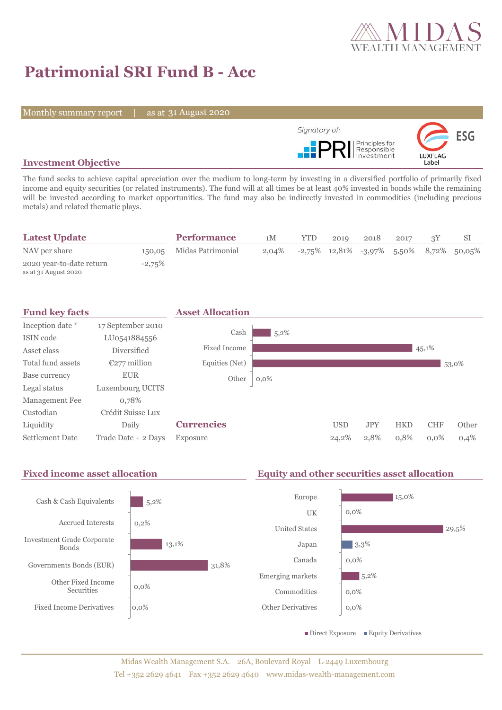

# **Patrimonial SRI Fund B - Acc**

Monthly summary report | as at 31 August 2020



## **Investment Objective**

The fund seeks to achieve capital apreciation over the medium to long-term by investing in a diversified portfolio of primarily fixed income and equity securities (or related instruments). The fund will at all times be at least 40% invested in bonds while the remaining will be invested according to market opportunities. The fund may also be indirectly invested in commodities (including precious metals) and related thematic plays.

| <b>Latest Update</b>                             |           | <b>Performance</b>       | 1М       | <b>YTD</b> | 2019 | 2018 | 2017 |                                               |
|--------------------------------------------------|-----------|--------------------------|----------|------------|------|------|------|-----------------------------------------------|
| NAV per share                                    |           | 150,05 Midas Patrimonial | $2.04\%$ |            |      |      |      | $-2,75\%$ 12,81% $-3,97\%$ 5,50% 8,72% 50,05% |
| 2020 year-to-date return<br>as at 31 August 2020 | $-2,75\%$ |                          |          |            |      |      |      |                                               |



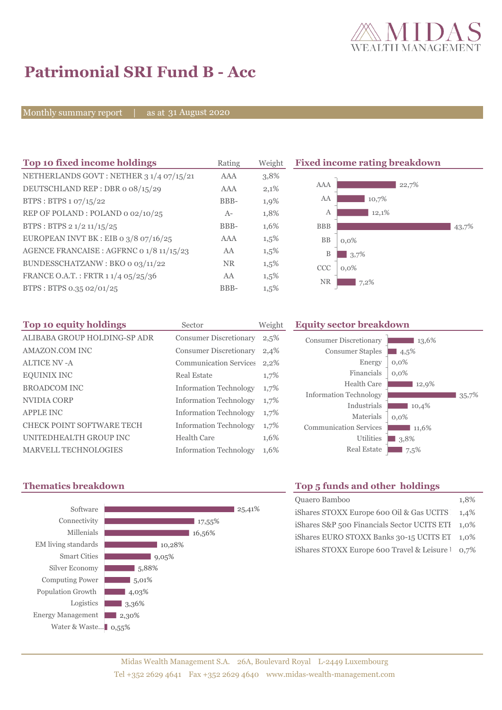

# **Patrimonial SRI Fund B - Acc**

Monthly summary report | as at 31 August 2020

| Top 10 fixed income holdings             | Rating     | Weight  | <b>Fixed in</b> |
|------------------------------------------|------------|---------|-----------------|
| NETHERLANDS GOVT: NETHER 3 1/4 07/15/21  | AAA        | 3,8%    |                 |
| DEUTSCHLAND REP: DBR o 08/15/29          | <b>AAA</b> | 2,1%    | AA/             |
| BTPS: BTPS 1 07/15/22                    | BBB-       | 1,9%    | A/              |
| REP OF POLAND: POLAND 0 02/10/25         | $A-$       | 1,8%    | Î               |
| BTPS: BTPS 2 1/2 11/15/25                | BBB-       | 1,6%    | <b>BBI</b>      |
| EUROPEAN INVT BK : EIB o $3/8$ o7/16/25  | <b>AAA</b> | $1,5\%$ | <b>BI</b>       |
| AGENCE FRANCAISE : AGFRNC 0 1/8 11/15/23 | AA         | $1,5\%$ | $\mathbf{I}$    |
| BUNDESSCHATZANW: BKO 0 03/11/22          | <b>NR</b>  | $1,5\%$ | CC              |
| FRANCE O.A.T.: FRTR 1 1/4 05/25/36       | AA         | $1,5\%$ | NI              |
| BTPS: BTPS 0.35 02/01/25                 | BBB-       | 1,5%    |                 |

#### **The 10 fixed income rating breakdown**



| Top 10 equity holdings           | Sector                        | Weigh |
|----------------------------------|-------------------------------|-------|
| ALIBABA GROUP HOLDING-SP ADR     | <b>Consumer Discretionary</b> | 2,5%  |
| <b>AMAZON.COM INC</b>            | <b>Consumer Discretionary</b> | 2,4%  |
| <b>ALTICE NV - A</b>             | <b>Communication Services</b> | 2,2%  |
| <b>EQUINIX INC</b>               | Real Estate                   | 1,7%  |
| <b>BROADCOM INC</b>              | <b>Information Technology</b> | 1,7%  |
| NVIDIA CORP                      | <b>Information Technology</b> | 1,7%  |
| <b>APPLE INC</b>                 | <b>Information Technology</b> | 1,7%  |
| <b>CHECK POINT SOFTWARE TECH</b> | <b>Information Technology</b> | 1,7%  |
| UNITEDHEALTH GROUP INC           | <b>Health Care</b>            | 1,6%  |
| <b>MARVELL TECHNOLOGIES</b>      | <b>Information Technology</b> | 1,6%  |

## **The Equity sector breakdown**

| 35,7% |
|-------|
|       |
|       |



# **Thematics breakdown Top 5 funds and other holdings**

| Quaero Bamboo                                    | 1.8% |
|--------------------------------------------------|------|
| iShares STOXX Europe 600 Oil & Gas UCITS 1,4%    |      |
| iShares S&P 500 Financials Sector UCITS ETI 1,0% |      |
| iShares EURO STOXX Banks 30-15 UCITS ET 1,0%     |      |
| iShares STOXX Europe 600 Travel & Leisure 1 0,7% |      |